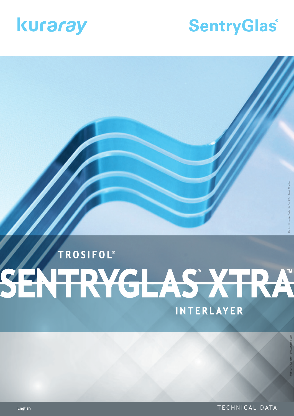

# **SentryGlas®**

# TROSIFOL<sup>®</sup> SENTRYGLAS XTRA INTERLAYER

Photo: © sedak GmbH & Co. KG · René Mueller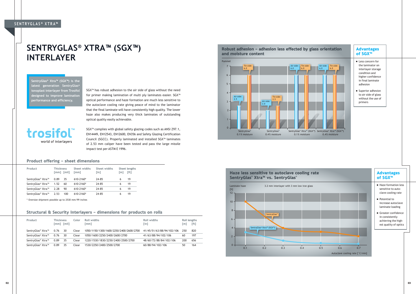- Haze formation less sensitive to autoclave cooling rate
- Potential to increase autoclave laminate loading
- Greater confidence in consistently achieving the highest quality of optics

#### **SENTRYGLAS ® X T R A™**

## **SENTRYGLAS® XTRA™ (SGX™) INTERLAYER**

SGX™ has robust adhesion to the air side of glass without the need for primer making lamination of multi ply laminates easier. SGX™ optical performance and haze formation are much less sensitive to the autoclave cooling rate giving peace of mind to the laminator that the final laminate will have consistently high quality. The lower haze also makes producing very thick laminates of outstanding optical quality easily achievable.

trosifol<sup>\*\*</sup> world of interlayers

SGX™ complies with global safety glazing codes such as ANSI Z97.1, EN14449, EN12543, EN12600, EN356 and Safety Glazing Certification Council (SGCC). Properly laminated and installed SGX™ laminates of 2.53 mm caliper have been tested and pass the large missile impact test per ASTM E 1996.

- Less concern for the laminator on interlayer storage condition and higher confidence in final laminate adhesion
- **Superior adhesion** to air side of glass without the use of primers

**SentryGlas® Xtra™ (SGX™) is the latest generation SentryGlas® ionoplast interlayer from Trosifol designed to improve lamination performance and efficiency.**

| Product           | <b>Thickness</b><br>$\lceil mm \rceil$ $\lceil min \rceil$ | Sheet widths<br>$\lceil$ mm $\rceil$ | Sheet widths<br>$\lceil \mathsf{in} \rceil$ | $\lceil m \rceil$ | Sheet lengths<br>[ft] |
|-------------------|------------------------------------------------------------|--------------------------------------|---------------------------------------------|-------------------|-----------------------|
| SentryGlas® Xtra™ | 0.89<br>35                                                 | $610 - 2160*$                        | 24-85                                       |                   | 19                    |
| SentryGlas® Xtra™ | 1.52<br>60                                                 | $610 - 2160*$                        | 24-85                                       | 6                 | 19                    |
| SentryGlas® Xtra™ | 90<br>2.28                                                 | 610-2160*                            | 24-85                                       |                   | 19                    |
| SentryGlas® Xtra™ | 2.53                                                       | $610 - 2160*$<br>100                 | 24-85                                       | 6                 | 19                    |

\* Oversize shipment possible up to 2530 mm/99 inches





#### Product offering – sheet dimensions

#### Advantages of SGX™

#### Advantages of SGX™

#### Structural & Security Interlayers – dimensions for products on rolls

| Product                                   | <b>Thickness</b> | $\lceil mm \rceil$ $\lceil mi \rceil$ | Color | Roll widths<br>[mm]                     | Roll widths<br>$\lceil$ in $\rceil$ | [m] | Roll lengths<br>[ft] |
|-------------------------------------------|------------------|---------------------------------------|-------|-----------------------------------------|-------------------------------------|-----|----------------------|
| SentryGlas® Xtra™                         | 0.76             | 30                                    | Clear | 1050/1150/1300/1600/2250/2400/2600/2700 | 41/45/51/63/88/94/102/106           | 250 | 820                  |
| SentryGlas <sup>®</sup> Xtra <sup>™</sup> | 0.76             | 30                                    | Clear | 1050/1600/2250/2400/2600/2700           | 41/63/88/94/102/106                 | 60  | 197                  |
| SentryGlas® Xtra™                         | 0.89             | 35                                    | Clear | 1220/1530/1830/2250/2400/2500/2700      | 48/60/72/88/84/102/106              | 200 | 656                  |
| SentryGlas® Xtra™                         | 0.89             | 35                                    | Clear | 1530/2250/2400/2500/2700                | 60/88/94/102/106                    | 50  | 164                  |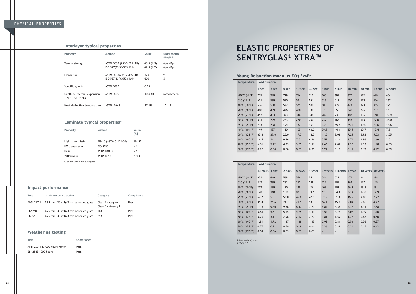## **ELASTIC PROPERTIES OF SENTRYGLAS® XTRA™**

Poisson ratio (v) = 0.48 E = G\*2 (1+v)

| <b>Temperature</b>                 | Load duration |       |       |        |        |       |       |          |        |        |         |
|------------------------------------|---------------|-------|-------|--------|--------|-------|-------|----------|--------|--------|---------|
|                                    | 1 sec         | 3 sec | 5 sec | 10 sec | 30 sec | 1 min | 5 min | $10$ min | 30 min | 1 hour | 6 hours |
| $-20^{\circ}$ C (-4 $^{\circ}$ F)  | 725           | 719   | 719   | 716    | 710    | 705   | 699   | 670      | 672    | 669    | 654     |
| $0^{\circ}$ C (32 $^{\circ}$ F)    | 601           | 589   | 580   | 571    | 551    | 536   | 512   | 500      | 474    | 426    | 367     |
| 10°C (50 $\degree$ F)              | 536           | 530   | 527   | 521    | 509    | 503   | 477   | 423      | 373    | 355    | 271     |
| $20^{\circ}$ C (68 $^{\circ}$ F)   | 480           | 459   | 426   | 400    | 389    | 370   | 355   | 340      | 296    | 237    | 163     |
| 25 $^{\circ}$ C (77 $^{\circ}$ F)  | 417           | 403   | 373   | 346    | 340    | 289   | 238   | 187      | 136    | 110    | 79.9    |
| $30^{\circ}$ C (86 $^{\circ}$ F)   | 314           | 299   | 283   | 270    | 250    | 237   | 163   | 148      | 113    | 77.0   | 48.0    |
| $35^{\circ}$ C (95 $^{\circ}$ F)   | 233           | 208   | 194   | 182    | 163    | 133   | 85.8  | 65.1     | 40.0   | 29.6   | 13.6    |
| 40°C (104 $\degree$ F)             | 149           | 137   | 120   | 105    | 98.0   | 79.9  | 44.4  | 35.5     | 20.7   | 15.4   | 7.81    |
| 50°C (122 °F)                      | 65.4          | 37.6  | 25.0  | 17.7   | 14.5   | 11.5  | 8.02  | 7.25     | 5.92   | 5.03   | 3.55    |
| 60 $^{\circ}$ C (140 $^{\circ}$ F) | 14.5          | 11.2  | 9.86  | 7.51   | 6.36   | 5.57  | 4.14  | 3.70     | 2.96   | 2.66   | 2.01    |
| $70^{\circ}$ C (158 $^{\circ}$ F)  | 6.51          | 5.12  | 4.23  | 3.85   | 3.11   | 2.66  | 2.01  | 1.92     | 1.33   | 1.18   | 0.83    |
| 80 $^{\circ}$ C (176 $^{\circ}$ F) | 0.92          | 0.80  | 0.68  | 0.53   | 0.30   | 0.27  | 0.18  | 0.15     | 0.12   | 0.12   | 0.09    |

| <b>Temperature</b>                 | Load duration  |      |        |        |        |      |                          |                          |      |                   |
|------------------------------------|----------------|------|--------|--------|--------|------|--------------------------|--------------------------|------|-------------------|
|                                    | 12 hours 1 day |      | 2 days | 5 days | 1 week |      | 3 weeks 1 month 1 year   |                          |      | 10 years 50 years |
| $-20^{\circ}$ C (-4 $^{\circ}$ F)  | 631            | 619  | 568    | 554    | 551    | 544  | 522                      | 471                      | 411  | 388               |
| $0^{\circ}$ C (32 $^{\circ}$ F)    | 317            | 299  | 282    | 252    | 248    | 222  | 209                      | 162                      | 127  | 115               |
| 10°C (50 $\degree$ F)              | 252            | 199  | 170    | 138    | 126    | 109  | 101                      | 66.9                     | 48.8 | 39.1              |
| 20°C (68 $^{\circ}$ F)             | 148            | 118  | 109    | 87.3   | 79.6   | 62.8 | 54.4                     | 32.9                     | 19.8 | 14.9              |
| $25^{\circ}$ C (77 $^{\circ}$ F)   | 62.2           | 55.1 | 53.0   | 45.6   | 42.0   | 32.9 | 31.4                     | 16.6                     | 9.80 | 7.22              |
| $30^{\circ}$ C (86 $^{\circ}$ F)   | 31.4           | 26.6 | 24.7   | 21.1   | 18.3   | 16.4 | 15.3                     | 9.09                     | 5.86 | 4.47              |
| $35^{\circ}$ C (95 $^{\circ}$ F)   | 11.8           | 9.80 | 9.56   | 8.17   | 7.79   | 6.87 | 6.35                     | 4.47                     | 3.11 | 2.58              |
| 40 $^{\circ}$ C (104 $^{\circ}$ F) | 5.89           | 5.51 | 5.45   | 4.65   | 4.11   | 3.52 | 3.28                     | 2.07                     | 1.39 | 1.10              |
| 50°C (122 °F)                      | 3.26           | 3.11 | 2.96   | 2.72   | 2.20   | 1.81 | 1.59                     | 1.27                     | 0.68 | 0.50              |
| 60 $^{\circ}$ C (140 $^{\circ}$ F) | 1.81           | 1.72 | 1.27   | 1.18   | 1.13   | 0.92 | 0.84                     | 0.53                     | 0.36 | 0.27              |
| $70^{\circ}$ C (158 $^{\circ}$ F)  | 0.77           | 0.71 | 0.59   | 0.49   | 0.41   | 0.36 | 0.32                     | 0.21                     | 0.15 | 0.12              |
| $80^{\circ}$ C (176 $^{\circ}$ F)  | 0.09           | 0.06 | 0.03   | 0.03   | 0.03   | ٠    | $\overline{\phantom{a}}$ | $\overline{\phantom{a}}$ |      | ٠                 |
|                                    |                |      |        |        |        |      |                          |                          |      |                   |

| Property                                                                  | Method                                           | Value                  | Units metric<br>(English)    |
|---------------------------------------------------------------------------|--------------------------------------------------|------------------------|------------------------------|
| Tensile strength                                                          | ASTM D638 (23°C/50% RH)<br>ISO 527(23 °C/50% RH) | 43.5(6.3)<br>42.9(6.2) | Mpa (Kpsi)<br>Mpa (Kpsi)     |
| Elongation                                                                | ASTM D638(23°C/50% RH)<br>ISO 527(23 °C/50% RH)  | 320<br>600             | %<br>%                       |
| Specific gravity                                                          | ASTM D792                                        | 0.95                   |                              |
| Coeff. of thermal expansion<br>$(-20 \degree C \text{ to } 32 \degree C)$ | ASTM D696                                        | 10 X 10 <sup>-5</sup>  | mm/mm/°C                     |
| Heat deflection temperature                                               | ASTM D648                                        | 37 (99)                | $^{\circ}$ C ( $^{\circ}$ F) |

### **PHYSICAL PROPERTIES**

| Property                       | Method                | Value<br>$\lceil \% \rceil$ |
|--------------------------------|-----------------------|-----------------------------|
| Light transmission             | EN410 (ASTM G 173-03) | 90 (90)                     |
| UV transmission                | ISO 9050              | < 1                         |
| Haze                           | <b>ASTM D1003</b>     | < 1                         |
| Yellowness                     | ASTM D313             | $\leq$ 0.3                  |
| *0.89 mm with 4 mm clear glass |                       |                             |

| Test         | Laminate construction                                       | Category                                   | Compliance |
|--------------|-------------------------------------------------------------|--------------------------------------------|------------|
|              | ANSI $Z97.1$ 0.89 mm $(35 \text{ mil})/3$ mm annealed glass | Class A category II/<br>Class B category I | Pass       |
| EN12600      | $0.76$ mm $(30 \text{ mil})/3$ mm annealed glass            | 1B1                                        | Pass       |
| <b>EN356</b> | $0.76$ mm $(30 \text{ mil})/3$ mm annealed glass            | P <sub>1</sub> A                           | Pass       |

| <b>Test</b>                    | Compliance |
|--------------------------------|------------|
| ANSI Z97.1 (3,000 hours Xenon) | Pass       |
| EN12543 4000 hours             | Pass       |

#### Interlayer typical properties

#### Laminate typical properties\*

#### Impact performance

#### Weathering testing

#### Young Relaxation Modulus E(t) / MPa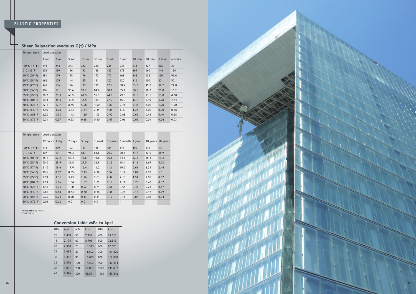### **ELASTIC PROPERTIES**

Poisson ratio (v) = 0.48 E = G\*2 (1+v)

| Temperature                       | <b>Load duration</b> |       |       |                   |        |         |       |          |        |        |         |
|-----------------------------------|----------------------|-------|-------|-------------------|--------|---------|-------|----------|--------|--------|---------|
|                                   | 1 sec                | 3 sec | 5 sec | 10 <sub>sec</sub> | 30 sec | $1$ min | 5 min | $10$ min | 30 min | 1 hour | 6 hours |
| $-20^{\circ}$ C ( $-4^{\circ}$ F) | 245                  | 243   | 243   | 242               | 240    | 238     | 236   | 233      | 227    | 226    | 221     |
| $0^{\circ}$ C (32 $^{\circ}$ F)   | 203                  | 199   | 196   | 193               | 186    | 182     | 172   | 169      | 160    | 144    | 124     |
| 10°C (50 °F)                      | 181                  | 179   | 178   | 176               | 172    | 170     | 161   | 143      | 126    | 120    | 91.6    |
| $20^{\circ}$ C (68 $^{\circ}$ F)  | 162                  | 155   | 144   | 135               | 131    | 125     | 120   | 115      | 100    | 80.1   | 55.1    |
| $25^{\circ}$ C (77 $^{\circ}$ F)  | 141                  | 136   | 126   | 117               | 115    | 97.9    | 80.4  | 63.3     | 45.8   | 37.2   | 27.0    |
| $30^{\circ}$ C (86 $^{\circ}$ F)  | 106                  | 101   | 95.6  | 91.2              | 84.8   | 80.1    | 55.1  | 50.0     | 38.2   | 26.0   | 16.2    |
| $35^{\circ}$ C (95 $^{\circ}$ F)  | 78.7                 | 70.3  | 65.5  | 61.5              | 55.1   | 44.9    | 29.0  | 22.0     | 13.5   | 10.0   | 4.60    |
| 40°C (104°F)                      | 50.3                 | 46.3  | 40.5  | 35.5              | 33.1   | 27.0    | 15.0  | 12.0     | 6.99   | 5.20   | 2.64    |
| $50^{\circ}$ C (122 $^{\circ}$ F) | 22.1                 | 12.7  | 8.45  | 5.98              | 4.90   | 3.89    | 2.71  | 2.45     | 2.00   | 1.70   | 1.20    |
| $60^{\circ}$ C (140 $^{\circ}$ F) | 4.90                 | 3.78  | 3.33  | 2.54              | 2.15   | 1.88    | 1.40  | 1.25     | 1.00   | 0.90   | 0.68    |
| $70^{\circ}$ C (158 $^{\circ}$ F) | 2.20                 | 1.73  | 1.43  | 1.30              | 1.05   | 0.90    | 0.68  | 0.65     | 0.45   | 0.40   | 0.28    |
| $80^{\circ}$ C (176 $^{\circ}$ F) | 0.31                 | 0.27  | 0.23  | 0.18              | 0.10   | 0.09    | 0.06  | 0.05     | 0.04   | 0.04   | 0.03    |

| <b>Temperature</b>                 | Load duration  |      |        |        |        |         |                          |      |      |                          |
|------------------------------------|----------------|------|--------|--------|--------|---------|--------------------------|------|------|--------------------------|
|                                    | 12 hours 1 day |      | 2 days | 5 days | 1 week | 3 weeks | 1 month 1 year           |      |      | 10 years 50 years        |
| $-20^{\circ}$ C $(-4^{\circ}F)$    | 213            | 209  | 192    | 187    | 186    | 184     | 176                      | 159  | 139  | 131                      |
| $0^{\circ}$ C (32 $^{\circ}$ F)    | 107            | 101  | 95.3   | 85.1   | 83.8   | 75.0    | 70.6                     | 54.7 | 42.9 | 38.9                     |
| 10°C (50 °F)                       | 85.1           | 67.2 | 57.4   | 46.6   | 42.6   | 36.8    | 34.1                     | 22.6 | 16.5 | 13.2                     |
| $20^{\circ}$ C (68 $^{\circ}$ F)   | 50.0           | 39.9 | 36.8   | 29.5   | 26.9   | 21.2    | 18.4                     | 11.1 | 6.69 | 5.03                     |
| 25 $°C$ (77 $°F$ )                 | 21.0           | 18.6 | 17.9   | 15.4   | 14.2   | 11.1    | 10.5                     | 5.61 | 3.31 | 2.44                     |
| $30^{\circ}$ C (86 $^{\circ}$ F)   | 10.6           | 8.97 | 8.35   | 7.13   | 6.18   | 5.54    | 5.17                     | 3.07 | 1.98 | 1.51                     |
| $35^{\circ}$ C (95 $^{\circ}$ F)   | 3.99           | 3.31 | 3.23   | 2.76   | 2.63   | 2.32    | 2.15                     | 1.51 | 1.05 | 0.87                     |
| 40 $^{\circ}$ C (104 $^{\circ}$ F) | 1.99           | 1.86 | 1.84   | 1.57   | 1.39   | 1.19    | 1.11                     | 0.70 | 0.47 | 0.37                     |
| 50°C (122 °F)                      | 1.10           | 1.05 | 1.00   | 0.92   | 0.74   | 0.61    | 0.54                     | 0.43 | 0.23 | 0.17                     |
| 60 $^{\circ}$ C (140 $^{\circ}$ F) | 0.61           | 0.58 | 0.43   | 0.40   | 0.38   | 0.31    | 0.28                     | 0.18 | 0.12 | 0.09                     |
| 70°C (158°F)                       | 0.26           | 0.24 | 0.20   | 0.17   | 0.14   | 0.12    | 0.11                     | 0.07 | 0.05 | 0.04                     |
| $80^{\circ}$ C (176 $^{\circ}$ F)  | 0.03           | 0.02 | 0.01   | 0.01   | 0.01   |         | $\overline{\phantom{a}}$ | ٠    |      | $\overline{\phantom{a}}$ |

| <b>MPa</b> | kpsi  | <b>MPa</b> | kpsi   | <b>MPa</b> | kpsi    |
|------------|-------|------------|--------|------------|---------|
| 10         | 1.450 | 50         | 7.251  | 400        | 58.015  |
| 15         | 2.175 | 60         | 8.702  | 500        | 72.519  |
| 20         | 2.900 | 70         | 10.513 | 600        | 87.023  |
| 25         | 3.625 | 80         | 11.603 | 700        | 101.526 |
| 30         | 4.351 | 90         | 13.053 | 800        | 116.030 |
| 35         | 5.076 | 100        | 14.503 | 900        | 130.534 |
| 40         | 5.801 | 200        | 29.007 | 1000       | 145.037 |
| 45         | 6.526 | 300        | 43.511 | 1100       | 159.542 |





#### Shear Relaxation Modulus G(t) / MPa

#### Conversion table MPa to kpsi